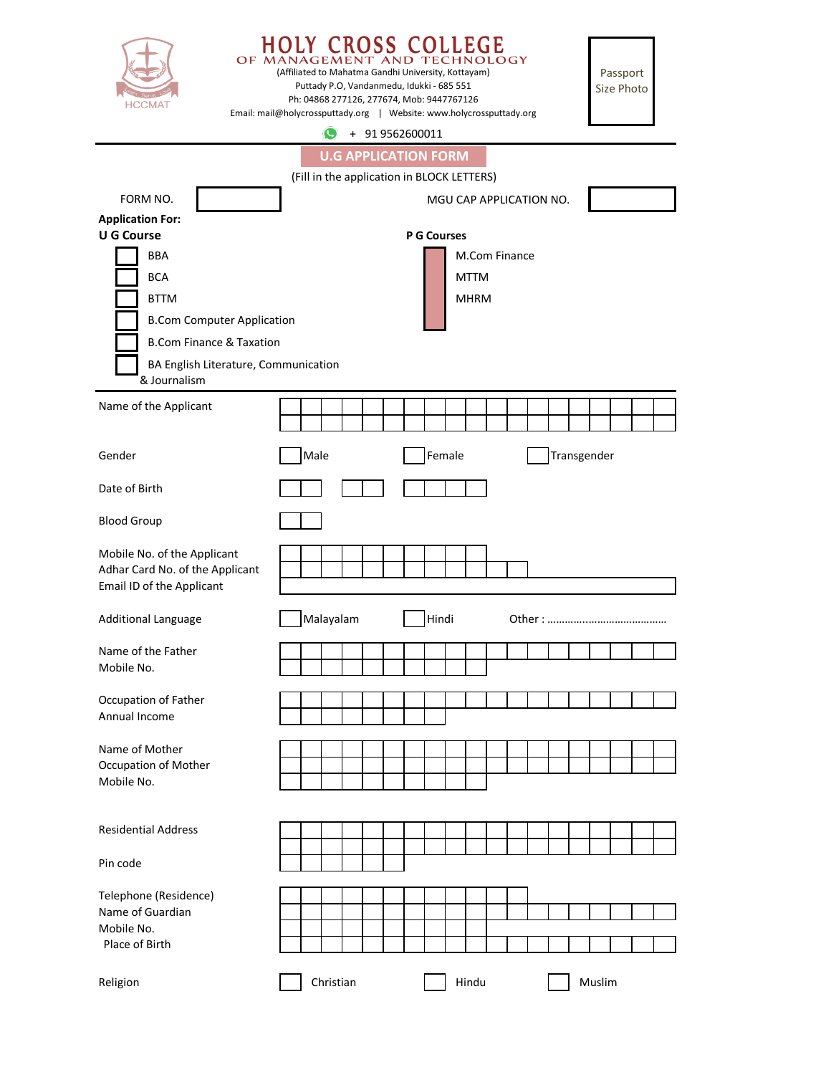| <b>HCCMAT</b>                                        | <b>COLLEGE</b><br><b>TECHNOLOGY</b><br>OF MAN<br>$AND$ .<br>AGEMENT<br>(Affiliated to Mahatma Gandhi University, Kottayam)<br>Puttady P.O, Vandanmedu, Idukki - 685 551<br>Ph: 04868 277126, 277674, Mob: 9447767126<br>Email: mail@holycrossputtady.org   Website: www.holycrossputtady.org |           |  |                            |  |       |  |        |       |  |  |  | Passport<br>Size Photo |             |        |  |  |  |
|------------------------------------------------------|----------------------------------------------------------------------------------------------------------------------------------------------------------------------------------------------------------------------------------------------------------------------------------------------|-----------|--|----------------------------|--|-------|--|--------|-------|--|--|--|------------------------|-------------|--------|--|--|--|
|                                                      |                                                                                                                                                                                                                                                                                              |           |  | $\bigodot$ + 91 9562600011 |  |       |  |        |       |  |  |  |                        |             |        |  |  |  |
| <b>U.G APPLICATION FORM</b>                          |                                                                                                                                                                                                                                                                                              |           |  |                            |  |       |  |        |       |  |  |  |                        |             |        |  |  |  |
| (Fill in the application in BLOCK LETTERS)           |                                                                                                                                                                                                                                                                                              |           |  |                            |  |       |  |        |       |  |  |  |                        |             |        |  |  |  |
| FORM NO.<br>MGU CAP APPLICATION NO.                  |                                                                                                                                                                                                                                                                                              |           |  |                            |  |       |  |        |       |  |  |  |                        |             |        |  |  |  |
| <b>Application For:</b>                              |                                                                                                                                                                                                                                                                                              |           |  |                            |  |       |  |        |       |  |  |  |                        |             |        |  |  |  |
| <b>U G Course</b><br><b>P G Courses</b>              |                                                                                                                                                                                                                                                                                              |           |  |                            |  |       |  |        |       |  |  |  |                        |             |        |  |  |  |
| <b>BBA</b>                                           | M.Com Finance                                                                                                                                                                                                                                                                                |           |  |                            |  |       |  |        |       |  |  |  |                        |             |        |  |  |  |
| <b>BCA</b>                                           | <b>MTTM</b>                                                                                                                                                                                                                                                                                  |           |  |                            |  |       |  |        |       |  |  |  |                        |             |        |  |  |  |
| <b>BTTM</b>                                          | <b>MHRM</b>                                                                                                                                                                                                                                                                                  |           |  |                            |  |       |  |        |       |  |  |  |                        |             |        |  |  |  |
| <b>B.Com Computer Application</b>                    |                                                                                                                                                                                                                                                                                              |           |  |                            |  |       |  |        |       |  |  |  |                        |             |        |  |  |  |
| <b>B.Com Finance &amp; Taxation</b>                  |                                                                                                                                                                                                                                                                                              |           |  |                            |  |       |  |        |       |  |  |  |                        |             |        |  |  |  |
| BA English Literature, Communication<br>& Journalism |                                                                                                                                                                                                                                                                                              |           |  |                            |  |       |  |        |       |  |  |  |                        |             |        |  |  |  |
|                                                      |                                                                                                                                                                                                                                                                                              |           |  |                            |  |       |  |        |       |  |  |  |                        |             |        |  |  |  |
| Name of the Applicant                                |                                                                                                                                                                                                                                                                                              |           |  |                            |  |       |  |        |       |  |  |  |                        |             |        |  |  |  |
|                                                      |                                                                                                                                                                                                                                                                                              |           |  |                            |  |       |  |        |       |  |  |  |                        |             |        |  |  |  |
| Gender                                               | Male                                                                                                                                                                                                                                                                                         |           |  |                            |  |       |  | Female |       |  |  |  |                        | Transgender |        |  |  |  |
| Date of Birth                                        |                                                                                                                                                                                                                                                                                              |           |  |                            |  |       |  |        |       |  |  |  |                        |             |        |  |  |  |
| <b>Blood Group</b>                                   |                                                                                                                                                                                                                                                                                              |           |  |                            |  |       |  |        |       |  |  |  |                        |             |        |  |  |  |
| Mobile No. of the Applicant                          |                                                                                                                                                                                                                                                                                              |           |  |                            |  |       |  |        |       |  |  |  |                        |             |        |  |  |  |
| Adhar Card No. of the Applicant                      |                                                                                                                                                                                                                                                                                              |           |  |                            |  |       |  |        |       |  |  |  |                        |             |        |  |  |  |
| Email ID of the Applicant                            |                                                                                                                                                                                                                                                                                              |           |  |                            |  |       |  |        |       |  |  |  |                        |             |        |  |  |  |
| Additional Language                                  | Malayalam                                                                                                                                                                                                                                                                                    |           |  |                            |  | Hindi |  |        |       |  |  |  |                        |             |        |  |  |  |
| Name of the Father                                   |                                                                                                                                                                                                                                                                                              |           |  |                            |  |       |  |        |       |  |  |  |                        |             |        |  |  |  |
| Mobile No.                                           |                                                                                                                                                                                                                                                                                              |           |  |                            |  |       |  |        |       |  |  |  |                        |             |        |  |  |  |
| Occupation of Father                                 |                                                                                                                                                                                                                                                                                              |           |  |                            |  |       |  |        |       |  |  |  |                        |             |        |  |  |  |
| Annual Income                                        |                                                                                                                                                                                                                                                                                              |           |  |                            |  |       |  |        |       |  |  |  |                        |             |        |  |  |  |
|                                                      |                                                                                                                                                                                                                                                                                              |           |  |                            |  |       |  |        |       |  |  |  |                        |             |        |  |  |  |
| Name of Mother                                       |                                                                                                                                                                                                                                                                                              |           |  |                            |  |       |  |        |       |  |  |  |                        |             |        |  |  |  |
| Occupation of Mother<br>Mobile No.                   |                                                                                                                                                                                                                                                                                              |           |  |                            |  |       |  |        |       |  |  |  |                        |             |        |  |  |  |
|                                                      |                                                                                                                                                                                                                                                                                              |           |  |                            |  |       |  |        |       |  |  |  |                        |             |        |  |  |  |
|                                                      |                                                                                                                                                                                                                                                                                              |           |  |                            |  |       |  |        |       |  |  |  |                        |             |        |  |  |  |
| <b>Residential Address</b>                           |                                                                                                                                                                                                                                                                                              |           |  |                            |  |       |  |        |       |  |  |  |                        |             |        |  |  |  |
| Pin code                                             |                                                                                                                                                                                                                                                                                              |           |  |                            |  |       |  |        |       |  |  |  |                        |             |        |  |  |  |
|                                                      |                                                                                                                                                                                                                                                                                              |           |  |                            |  |       |  |        |       |  |  |  |                        |             |        |  |  |  |
| Telephone (Residence)                                |                                                                                                                                                                                                                                                                                              |           |  |                            |  |       |  |        |       |  |  |  |                        |             |        |  |  |  |
| Name of Guardian                                     |                                                                                                                                                                                                                                                                                              |           |  |                            |  |       |  |        |       |  |  |  |                        |             |        |  |  |  |
| Mobile No.<br>Place of Birth                         |                                                                                                                                                                                                                                                                                              |           |  |                            |  |       |  |        |       |  |  |  |                        |             |        |  |  |  |
|                                                      |                                                                                                                                                                                                                                                                                              |           |  |                            |  |       |  |        |       |  |  |  |                        |             |        |  |  |  |
| Religion                                             |                                                                                                                                                                                                                                                                                              | Christian |  |                            |  |       |  |        | Hindu |  |  |  |                        |             | Muslim |  |  |  |